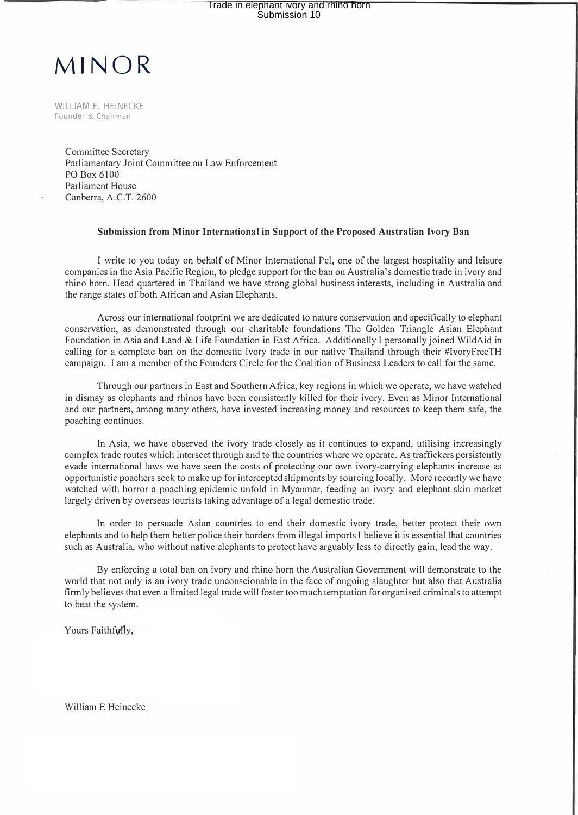## **MINOR**

WILLIAM E. HEINECKE Founder & Chairman

> Committee Secretary Parliamentary Joint Committee on Law Enforcement PO Box 6100 Parliament House Canberra, A.C.T. 2600

## **Submission from Minor International in Support of the Proposed Australian Ivory Ban**

I write to you today on behalf of Minor International Pel, one of the largest hospitality and leisure companies in the Asia Pacific Region, to pledge support for the ban on Australia's domestic trade in ivory and rhino horn. Head quartered in Thailand we have strong global business interests, including in Australia and the range states of both African and Asian Elephants.

Across our international footprint we are dedicated to nature conservation and specifically to elephant conservation, as demonstrated through our charitable foundations The Golden Triangle Asian Elephant Foundation in Asia and Land & Life Foundation in East Africa. Additionally I personally joined WildAid in calling for a complete ban on the domestic ivory trade in our native Thailand through their #IvoryFreeTH campaign. I am a member of the Founders Circle for the Coalition of Business Leaders to call for the same.

Through our partners in East and Southern Africa, key regions in which we operate, we have watched in dismay as elephants and rhinos have been consistently killed for their ivory. Even as Minor International and our partners, among many others, have invested increasing money and resources to keep them safe, the poaching continues.

In Asia, we have observed the ivory trade closely as it continues to expand, utilising increasingly complex trade routes which intersect through and to the countries where we operate. As traffickers persistently evade international laws we have seen the costs of protecting our own ivory-carrying elephants increase as opportunistic poachers seek to make up for intercepted shipments by sourcing locally. More recently we have watched with horror a poaching epidemic unfold in Myanmar, feeding an ivory and elephant skin market largely driven by overseas tourists taking advantage of a legal domestic trade.

In order to persuade Asian countries to end their domestic ivory trade, better protect their own elephants and to help them better police their borders from illegal imports I believe it is essential that countries such as Australia, who without native elephants to protect have arguably less to directly gain, lead the way.

By enforcing a total ban on ivory and rhino horn the Australian Government will demonstrate to the world that not only is an ivory trade unconscionable in the face of ongoing slaughter but also that Australia firmly believes that even a limited legal trade will foster too much temptation for organised criminals to attempt to beat the system.

Yours Faithfully.

William E Heinecke